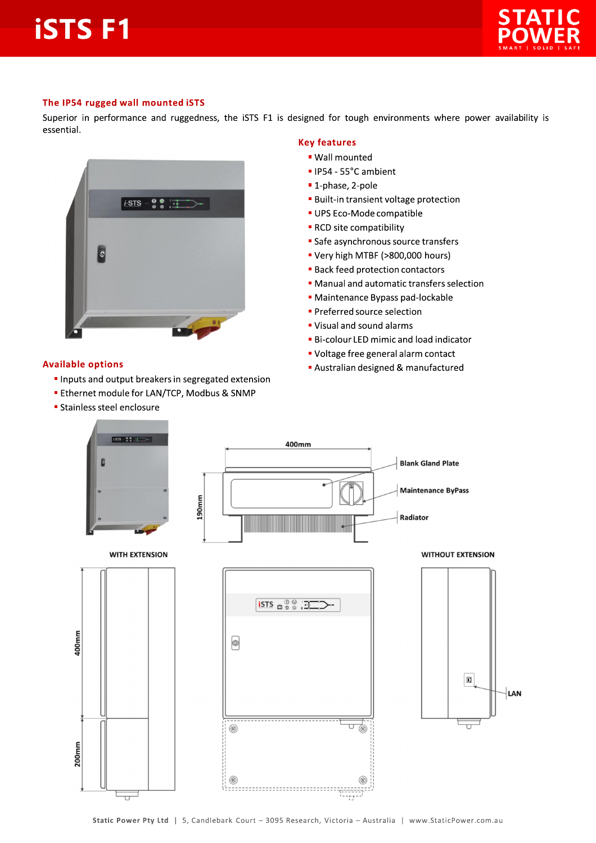# **iSTSF1**



#### The IP54 rugged wall mounted iSTS

Superior in performance and ruggedness, the iSTS F1 is designed for tough environments where power availability is essential.



#### **Available options**

- Inputs and output breakers in segregated extension
- **Ethernet module for LAN/TCP, Modbus & SNMP**
- **Stainless steel enclosure**

### **Key features**

- · Wall mounted
- · IP54 55°C ambient
- 1-phase, 2-pole
- **Built-in transient voltage protection**
- UPS Eco-Mode compatible
- RCD site compatibility
- Safe asynchronous source transfers
- Very high MTBF (>800,000 hours)
- **Back feed protection contactors**
- Manual and automatic transfers selection
- · Maintenance Bypass pad-lockable
- **Preferred source selection**
- " Visual and sound alarms
- **Bi-colour LED mimic and load indicator**
- " Voltage free general alarm contact
- Australian designed & manufactured